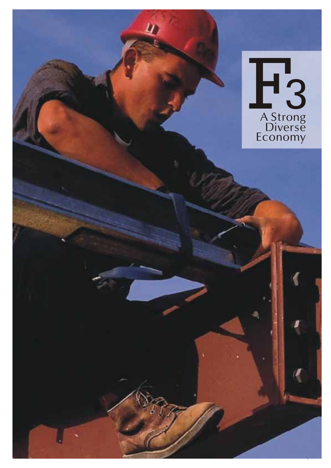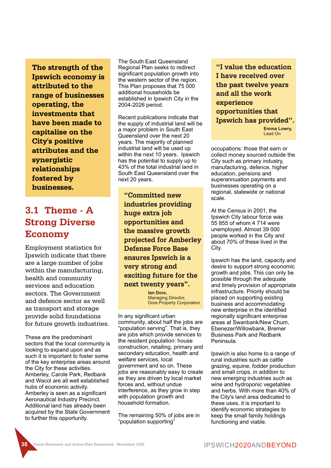**The strength of the Ipswich economy is attributed to the range of businesses operating, the investments that have been made to capitalise on the City's positive attributes and the synergistic relationships fostered by businesses.**

# **3.1 Theme - A Strong Diverse Economy**

Employment statistics for Ipswich indicate that there are a large number of jobs within the manufacturing, health and community services and education sectors. The Government and defence sector as well as transport and storage provide solid foundations for future growth industries.

These are the predominant sectors that the local community is looking to expand upon and as such it is important to foster some of the key enterprise areas around the City for these activities. Amberley, Carole Park, Redbank and Wacol are all well established hubs of economic activity. Amberley is seen as a significant Aeronautical Industry Precinct. Additional land has already been acquired by the State Government to further this opportunity.

The South East Queensland Regional Plan seeks to redirect significant population growth into the western sector of the region. This Plan proposes that 75 000 additional households be established in Ipswich City in the 2004-2026 period.

Recent publications indicate that the supply of industrial land will be a major problem in South East Queensland over the next 20 years. The majority of planned industrial land will be used up within the next 10 years. Ipswich has the potential to supply up to 43% of the total industrial land in South East Queensland over the next 20 years.

**"Committed new industries providing huge extra job opportunities and the massive growth projected for Amberley Defense Force Base ensures Ipswich is a very strong and exciting future for the next twenty years".**

> **Ian Dore,** Managing Director. Dore Property Corporation

In any significant urban community, about half the jobs are "population serving". That is, they are jobs which provide services to the resident population: house construction, retailing, primary and secondary education, health and welfare services, local government and so on. These jobs are reasonably easy to create as they are driven by local market forces and, without undue interference, as they grow in step with population growth and household formation.

The remaining 50% of jobs are in "population supporting"

**"I value the education I have received over the past twelve years and all the work experience opportunities that Ipswich has provided".**

> **Emma Lowry,** Lead On

occupations: those that earn or collect money sourced outside the City such as primary industry, manufacturing, defence, higher education, pensions and superannuation payments and businesses operating on a regional, statewide or national scale.

At the Census in 2001, the Ipswich City labour force was 55 855 of whom 4 714 were unemployed. Almost 39 000 people worked in the City and about 70% of these lived in the City.

Ipswich has the land, capacity and desire to support strong economic growth and jobs. This can only be possible through the adequate and timely provision of appropriate infrastructure. Priority should be placed on supporting existing business and accommodating new enterprise in the identified regionally significant enterprise areas at Swanbank/New Chum, Ebenezer/Willowbank, Bremer Business Park and Redbank Peninsula.

Ipswich is also home to a range of rural industries such as cattle grazing, equine, fodder production and small crops, in addition to new emerging industries such as wine and hydroponic vegetables and herbs. With more than 40% of the City's land area dedicated to these uses, it is important to identify economic strategies to keep the small family holdings functioning and viable.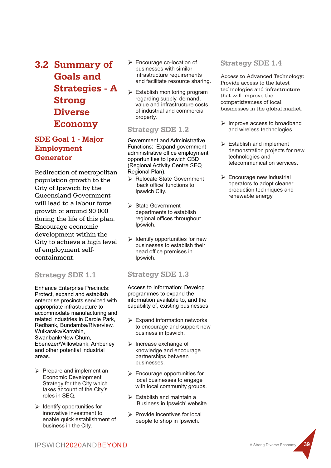**3.2 Summary of Goals and Strategies - A Strong Diverse Economy**

# **SDE Goal 1 - Major Employment Generator**

Redirection of metropolitan population growth to the City of Ipswich by the Queensland Government will lead to a labour force growth of around 90 000 during the life of this plan. Encourage economic development within the City to achieve a high level of employment selfcontainment.

### **Strategy SDE 1.1**

Enhance Enterprise Precincts: Protect, expand and establish enterprise precincts serviced with appropriate infrastructure to accommodate manufacturing and related industries in Carole Park, Redbank, Bundamba/Riverview, Wulkaraka/Karrabin, Swanbank/New Chum, Ebenezer/Willowbank, Amberley and other potential industrial areas.

- $\triangleright$  Prepare and implement an Economic Development Strategy for the City which takes account of the City's roles in SEQ.
- $\triangleright$  Identify opportunities for innovative investment to enable quick establishment of business in the City.
- Ø Encourage co-location of businesses with similar infrastructure requirements and facilitate resource sharing.
- $\triangleright$  Establish monitoring program regarding supply, demand, value and infrastructure costs of industrial and commercial property.

### **Strategy SDE 1.2**

Government and Administrative Functions: Expand government administrative office employment opportunities to Ipswich CBD (Regional Activity Centre SEQ Regional Plan).

- Ø Relocate State Government 'back office' functions to Ipswich City.
- State Government departments to establish regional offices throughout Ipswich.
- $\triangleright$  Identify opportunities for new businesses to establish their head office premises in Ipswich.

### **Strategy SDE 1.3**

Access to Information: Develop programmes to expand the information available to, and the capability of, existing businesses.

- $\triangleright$  Expand information networks to encourage and support new business in Ipswich.
- $\triangleright$  Increase exchange of knowledge and encourage partnerships between businesses.
- $\triangleright$  Encourage opportunities for local businesses to engage with local community groups.
- $\triangleright$  Establish and maintain a 'Business in Ipswich' website.
- $\triangleright$  Provide incentives for local people to shop in Ipswich.

### **Strategy SDE 1.4**

Access to Advanced Technology: Provide access to the latest technologies and infrastructure that will improve the competitiveness of local businesses in the global market.

- $\triangleright$  Improve access to broadband and wireless technologies.
- $\triangleright$  Establish and implement demonstration projects for new technologies and telecommunication services.
- $\triangleright$  Encourage new industrial operators to adopt cleaner production techniques and renewable energy.

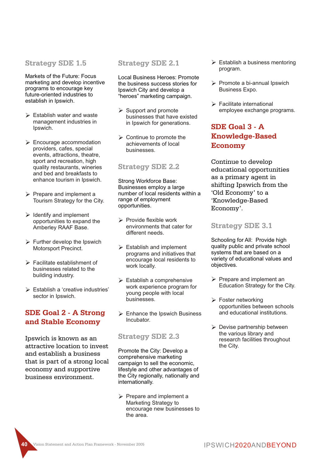#### **Strategy SDE 1.5**

Markets of the Future: Focus marketing and develop incentive programs to encourage key future-oriented industries to establish in Ipswich.

- $\triangleright$  Establish water and waste management industries in Ipswich.
- $\triangleright$  Encourage accommodation providers, cafes, special events, attractions, theatre, sport and recreation, high quality restaurants, wineries and bed and breakfasts to enhance tourism in Ipswich.
- $\triangleright$  Prepare and implement a Tourism Strategy for the City.
- $\triangleright$  Identify and implement opportunities to expand the Amberley RAAF Base.
- $\triangleright$  Further develop the Ipswich Motorsport Precinct.
- Ø Facilitate establishment of businesses related to the building industry.
- $\triangleright$  Establish a 'creative industries' sector in Ipswich.

# **SDE Goal 2 - A Strong and Stable Economy**

Ipswich is known as an attractive location to invest and establish a business that is part of a strong local economy and supportive business environment.

### **Strategy SDE 2.1**

Local Business Heroes: Promote the business success stories for Ipswich City and develop a "heroes" marketing campaign.

- $\triangleright$  Support and promote businesses that have existed in Ipswich for generations.
- $\triangleright$  Continue to promote the achievements of local businesses.

### **Strategy SDE 2.2**

Strong Workforce Base: Businesses employ a large number of local residents within a range of employment opportunities.

- $\triangleright$  Provide flexible work environments that cater for different needs.
- $\triangleright$  Establish and implement programs and initiatives that encourage local residents to work locally.
- $\triangleright$  Establish a comprehensive work experience program for young people with local businesses.
- $\triangleright$  Enhance the Ipswich Business Incubator.

#### **Strategy SDE 2.3**

Promote the City: Develop a comprehensive marketing campaign to sell the economic, lifestyle and other advantages of the City regionally, nationally and internationally.

 $\triangleright$  Prepare and implement a Marketing Strategy to encourage new businesses to the area.

- $\triangleright$  Establish a business mentoring program.
- $\triangleright$  Promote a bi-annual Ipswich Business Expo.
- $\triangleright$  Facilitate international employee exchange programs.

# **SDE Goal 3 - A Knowledge-Based Economy**

Continue to develop educational opportunities as a primary agent in shifting Ipswich from the 'Old Economy' to a 'Knowledge-Based Economy'.

### **Strategy SDE 3.1**

Schooling for All: Provide high quality public and private school systems that are based on a variety of educational values and objectives.

- $\triangleright$  Prepare and implement an Education Strategy for the City.
- $\triangleright$  Foster networking opportunities between schools and educational institutions.
- $\triangleright$  Devise partnership between the various library and research facilities throughout the City.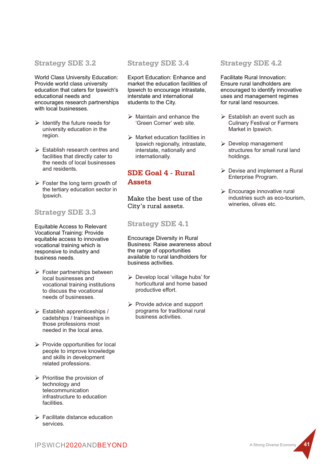#### **Strategy SDE 3.2**

World Class University Education: Provide world class university education that caters for Ipswich's educational needs and encourages research partnerships with local businesses.

- $\triangleright$  Identify the future needs for university education in the region.
- $\triangleright$  Establish research centres and facilities that directly cater to the needs of local businesses and residents.
- $\triangleright$  Foster the long term growth of the tertiary education sector in Ipswich.

## **Strategy SDE 3.3**

Equitable Access to Relevant Vocational Training: Provide equitable access to innovative vocational training which is responsive to industry and business needs.

- $\triangleright$  Foster partnerships between local businesses and vocational training institutions to discuss the vocational needs of businesses.
- $\triangleright$  Establish apprenticeships / cadetships / traineeships in those professions most needed in the local area.
- $\triangleright$  Provide opportunities for local people to improve knowledge and skills in development related professions.
- $\triangleright$  Prioritise the provision of technology and telecommunication infrastructure to education facilities.
- $\triangleright$  Facilitate distance education services.

### **Strategy SDE 3.4**

Export Education: Enhance and market the education facilities of Ipswich to encourage intrastate, interstate and international students to the City.

- $\triangleright$  Maintain and enhance the 'Green Corner' web site.
- $\triangleright$  Market education facilities in Ipswich regionally, intrastate, interstate, nationally and internationally.

# **SDE Goal 4 - Rural Assets**

Make the best use of the City's rural assets.

**Strategy SDE 4.1**

Encourage Diversity in Rural Business: Raise awareness about the range of opportunities available to rural landholders for business activities.

- $\triangleright$  Develop local 'village hubs' for horticultural and home based productive effort.
- $\triangleright$  Provide advice and support programs for traditional rural business activities.

#### **Strategy SDE 4.2**

Facilitate Rural Innovation: Ensure rural landholders are encouraged to identify innovative uses and management regimes for rural land resources.

- $\triangleright$  Establish an event such as Culinary Festival or Farmers Market in Ipswich.
- $\triangleright$  Develop management structures for small rural land holdings.
- $\triangleright$  Devise and implement a Rural Enterprise Program.
- $\triangleright$  Encourage innovative rural industries such as eco-tourism, wineries, olives etc.